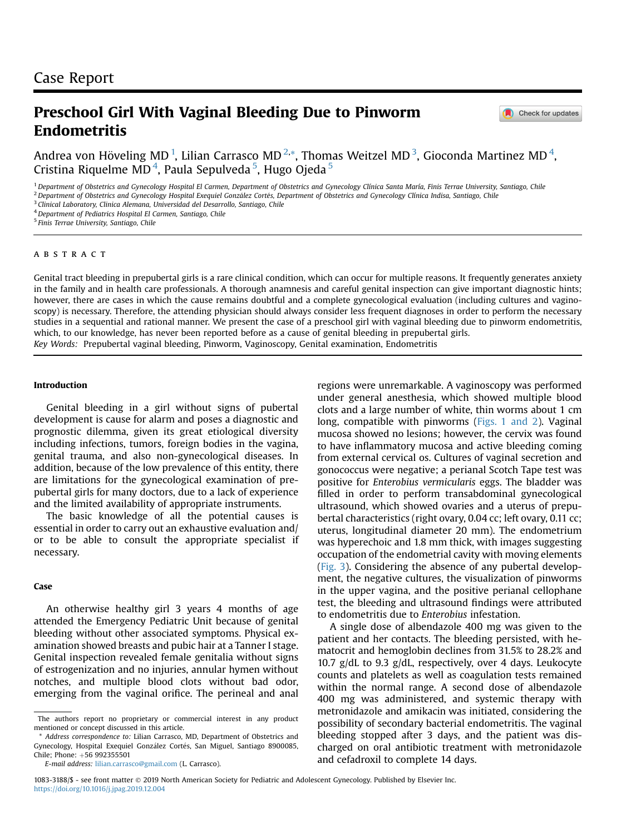# Preschool Girl With Vaginal Bleeding Due to Pinworm Endometritis

Check for updates

Andrea von Höveling MD  $^{1}$  $^{1}$  $^{1}$ , Lilian Carrasco MD  $^{2,\ast}$  $^{2,\ast}$  $^{2,\ast}$ , Thomas Weitzel MD  $^{3}$  $^{3}$  $^{3}$ , Gioconda Martinez MD  $^{4}$  $^{4}$  $^{4}$ , Cristina Riquelme MD<sup>[4](#page-0-4)</sup>, Paula Sepulveda<sup>[5](#page-0-5)</sup>, Hugo Ojeda<sup>5</sup>

<span id="page-0-0"></span><sup>1</sup> Department of Obstetrics and Gynecology Hospital El Carmen, Department of Obstetrics and Gynecology Clínica Santa María, Finis Terrae University, Santiago, Chile

<span id="page-0-1"></span><sup>2</sup> Department of Obstetrics and Gynecology Hospital Exequiel González Cortés, Department of Obstetrics and Gynecology Clínica Indisa, Santiago, Chile

<span id="page-0-3"></span> $3$  Clinical Laboratory, Clinica Alemana, Universidad del Desarrollo, Santiago, Chile

<span id="page-0-4"></span><sup>4</sup> Department of Pediatrics Hospital El Carmen, Santiago, Chile

<span id="page-0-5"></span><sup>5</sup> Finis Terrae University, Santiago, Chile

# ABSTRACT

Genital tract bleeding in prepubertal girls is a rare clinical condition, which can occur for multiple reasons. It frequently generates anxiety in the family and in health care professionals. A thorough anamnesis and careful genital inspection can give important diagnostic hints; however, there are cases in which the cause remains doubtful and a complete gynecological evaluation (including cultures and vaginoscopy) is necessary. Therefore, the attending physician should always consider less frequent diagnoses in order to perform the necessary studies in a sequential and rational manner. We present the case of a preschool girl with vaginal bleeding due to pinworm endometritis, which, to our knowledge, has never been reported before as a cause of genital bleeding in prepubertal girls. Key Words: Prepubertal vaginal bleeding, Pinworm, Vaginoscopy, Genital examination, Endometritis

# Introduction

Genital bleeding in a girl without signs of pubertal development is cause for alarm and poses a diagnostic and prognostic dilemma, given its great etiological diversity including infections, tumors, foreign bodies in the vagina, genital trauma, and also non-gynecological diseases. In addition, because of the low prevalence of this entity, there are limitations for the gynecological examination of prepubertal girls for many doctors, due to a lack of experience and the limited availability of appropriate instruments.

The basic knowledge of all the potential causes is essential in order to carry out an exhaustive evaluation and/ or to be able to consult the appropriate specialist if necessary.

#### Case

An otherwise healthy girl 3 years 4 months of age attended the Emergency Pediatric Unit because of genital bleeding without other associated symptoms. Physical examination showed breasts and pubic hair at a Tanner I stage. Genital inspection revealed female genitalia without signs of estrogenization and no injuries, annular hymen without notches, and multiple blood clots without bad odor, emerging from the vaginal orifice. The perineal and anal

regions were unremarkable. A vaginoscopy was performed under general anesthesia, which showed multiple blood clots and a large number of white, thin worms about 1 cm long, compatible with pinworms ([Figs. 1 and 2](#page-1-0)). Vaginal mucosa showed no lesions; however, the cervix was found to have inflammatory mucosa and active bleeding coming from external cervical os. Cultures of vaginal secretion and gonococcus were negative; a perianal Scotch Tape test was positive for Enterobius vermicularis eggs. The bladder was filled in order to perform transabdominal gynecological ultrasound, which showed ovaries and a uterus of prepubertal characteristics (right ovary, 0.04 cc; left ovary, 0.11 cc; uterus, longitudinal diameter 20 mm). The endometrium was hyperechoic and 1.8 mm thick, with images suggesting occupation of the endometrial cavity with moving elements [\(Fig. 3\)](#page-1-1). Considering the absence of any pubertal development, the negative cultures, the visualization of pinworms in the upper vagina, and the positive perianal cellophane test, the bleeding and ultrasound findings were attributed to endometritis due to Enterobius infestation.

A single dose of albendazole 400 mg was given to the patient and her contacts. The bleeding persisted, with hematocrit and hemoglobin declines from 31.5% to 28.2% and 10.7 g/dL to 9.3 g/dL, respectively, over 4 days. Leukocyte counts and platelets as well as coagulation tests remained within the normal range. A second dose of albendazole 400 mg was administered, and systemic therapy with metronidazole and amikacin was initiated, considering the possibility of secondary bacterial endometritis. The vaginal bleeding stopped after 3 days, and the patient was discharged on oral antibiotic treatment with metronidazole and cefadroxil to complete 14 days.

The authors report no proprietary or commercial interest in any product mentioned or concept discussed in this article.

<span id="page-0-2"></span><sup>\*</sup> Address correspondence to: Lilian Carrasco, MD, Department of Obstetrics and Gynecology, Hospital Exequiel González Cortés, San Miguel, Santiago 8900085, Chile; Phone: +56 992355501

E-mail address: [lilian.carrasco@gmail.com](mailto:lilian.carrasco@gmail.com) (L. Carrasco).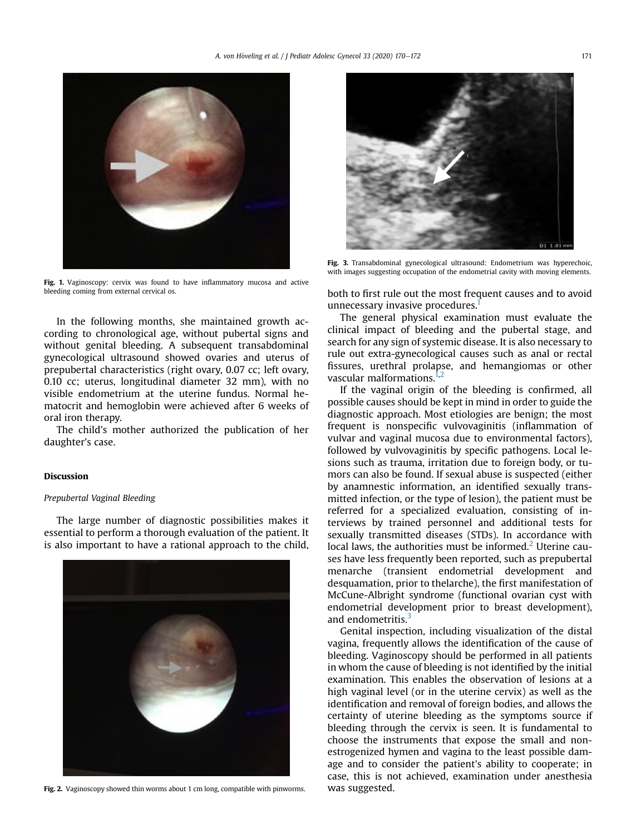<span id="page-1-0"></span>

Fig. 1. Vaginoscopy: cervix was found to have inflammatory mucosa and active bleeding coming from external cervical os.

In the following months, she maintained growth according to chronological age, without pubertal signs and without genital bleeding. A subsequent transabdominal gynecological ultrasound showed ovaries and uterus of prepubertal characteristics (right ovary, 0.07 cc; left ovary, 0.10 cc; uterus, longitudinal diameter 32 mm), with no visible endometrium at the uterine fundus. Normal hematocrit and hemoglobin were achieved after 6 weeks of oral iron therapy.

The child's mother authorized the publication of her daughter's case.

### Discussion

# Prepubertal Vaginal Bleeding

The large number of diagnostic possibilities makes it essential to perform a thorough evaluation of the patient. It is also important to have a rational approach to the child,



Fig. 2. Vaginoscopy showed thin worms about 1 cm long, compatible with pinworms.

<span id="page-1-1"></span>

Fig. 3. Transabdominal gynecological ultrasound: Endometrium was hyperechoic, with images suggesting occupation of the endometrial cavity with moving elements.

both to first rule out the most frequent causes and to avoid unnecessary invasive procedures.<sup>1</sup>

The general physical examination must evaluate the clinical impact of bleeding and the pubertal stage, and search for any sign of systemic disease. It is also necessary to rule out extra-gynecological causes such as anal or rectal fissures, urethral prolapse, and hemangiomas or other vascular malformations.<sup>1,[2](#page-2-1)</sup>

If the vaginal origin of the bleeding is confirmed, all possible causes should be kept in mind in order to guide the diagnostic approach. Most etiologies are benign; the most frequent is nonspecific vulvovaginitis (inflammation of vulvar and vaginal mucosa due to environmental factors), followed by vulvovaginitis by specific pathogens. Local lesions such as trauma, irritation due to foreign body, or tumors can also be found. If sexual abuse is suspected (either by anamnestic information, an identified sexually transmitted infection, or the type of lesion), the patient must be referred for a specialized evaluation, consisting of interviews by trained personnel and additional tests for sexually transmitted diseases (STDs). In accordance with local laws, the authorities must be informed.<sup>[2](#page-2-1)</sup> Uterine causes have less frequently been reported, such as prepubertal menarche (transient endometrial development and desquamation, prior to thelarche), the first manifestation of McCune-Albright syndrome (functional ovarian cyst with endometrial development prior to breast development), and endometritis.<sup>[3](#page-2-2)</sup>

Genital inspection, including visualization of the distal vagina, frequently allows the identification of the cause of bleeding. Vaginoscopy should be performed in all patients in whom the cause of bleeding is not identified by the initial examination. This enables the observation of lesions at a high vaginal level (or in the uterine cervix) as well as the identification and removal of foreign bodies, and allows the certainty of uterine bleeding as the symptoms source if bleeding through the cervix is seen. It is fundamental to choose the instruments that expose the small and nonestrogenized hymen and vagina to the least possible damage and to consider the patient's ability to cooperate; in case, this is not achieved, examination under anesthesia was suggested.